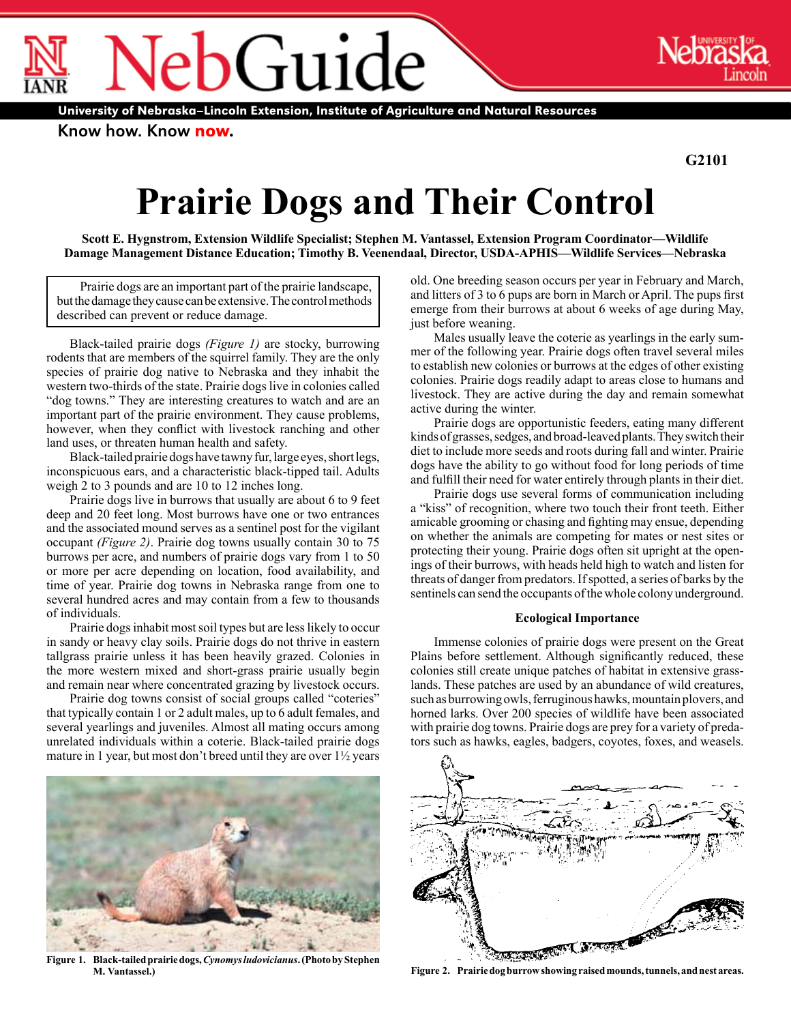$O$ Guide ®

Know how. Know now.

®

**G2101**

# **Prairie Dogs and Their Control**

**Scott E. Hygnstrom, Extension Wildlife Specialist; Stephen M. Vantassel, Extension Program Coordinator—Wildlife Damage Management Distance Education; Timothy B. Veenendaal, Director, USDA-APHIS—Wildlife Services—Nebraska**

Prairie dogs are an important part of the prairie landscape, but the damage they cause can be extensive. The control methods described can prevent or reduce damage.

Black-tailed prairie dogs *(Figure 1)* are stocky, burrowing rodents that are members of the squirrel family. They are the only species of prairie dog native to Nebraska and they inhabit the western two-thirds of the state. Prairie dogs live in colonies called "dog towns." They are interesting creatures to watch and are an important part of the prairie environment. They cause problems, however, when they conflict with livestock ranching and other land uses, or threaten human health and safety.

Black-tailed prairie dogs have tawny fur, large eyes, short legs, inconspicuous ears, and a characteristic black-tipped tail. Adults weigh 2 to 3 pounds and are 10 to 12 inches long.

Prairie dogs live in burrows that usually are about 6 to 9 feet deep and 20 feet long. Most burrows have one or two entrances and the associated mound serves as a sentinel post for the vigilant occupant *(Figure 2)*. Prairie dog towns usually contain 30 to 75 burrows per acre, and numbers of prairie dogs vary from 1 to 50 or more per acre depending on location, food availability, and time of year. Prairie dog towns in Nebraska range from one to several hundred acres and may contain from a few to thousands of individuals.

Prairie dogs inhabit most soil types but are less likely to occur in sandy or heavy clay soils. Prairie dogs do not thrive in eastern tallgrass prairie unless it has been heavily grazed. Colonies in the more western mixed and short-grass prairie usually begin and remain near where concentrated grazing by livestock occurs.

Prairie dog towns consist of social groups called "coteries" that typically contain 1 or 2 adult males, up to 6 adult females, and several yearlings and juveniles. Almost all mating occurs among unrelated individuals within a coterie. Black-tailed prairie dogs mature in 1 year, but most don't breed until they are over 1½ years



**Figure 1. Black-tailed prairie dogs,** *Cynomys ludovicianus***. (Photo by Stephen** 

old. One breeding season occurs per year in February and March, and litters of 3 to 6 pups are born in March or April. The pups first emerge from their burrows at about 6 weeks of age during May, just before weaning.

Males usually leave the coterie as yearlings in the early summer of the following year. Prairie dogs often travel several miles to establish new colonies or burrows at the edges of other existing colonies. Prairie dogs readily adapt to areas close to humans and livestock. They are active during the day and remain somewhat active during the winter.

Prairie dogs are opportunistic feeders, eating many different kinds of grasses, sedges, and broad-leaved plants. They switch their diet to include more seeds and roots during fall and winter. Prairie dogs have the ability to go without food for long periods of time and fulfill their need for water entirely through plants in their diet.

Prairie dogs use several forms of communication including a "kiss" of recognition, where two touch their front teeth. Either amicable grooming or chasing and fighting may ensue, depending on whether the animals are competing for mates or nest sites or protecting their young. Prairie dogs often sit upright at the openings of their burrows, with heads held high to watch and listen for threats of danger from predators. If spotted, a series of barks by the sentinels can send the occupants of the whole colony underground.

## **Ecological Importance**

Immense colonies of prairie dogs were present on the Great Plains before settlement. Although significantly reduced, these colonies still create unique patches of habitat in extensive grasslands. These patches are used by an abundance of wild creatures, such as burrowing owls, ferruginous hawks, mountain plovers, and horned larks. Over 200 species of wildlife have been associated with prairie dog towns. Prairie dogs are prey for a variety of predators such as hawks, eagles, badgers, coyotes, foxes, and weasels.



**M. Vantassel.) Figure 2. Prairie dog burrow showing raised mounds, tunnels, and nest areas.**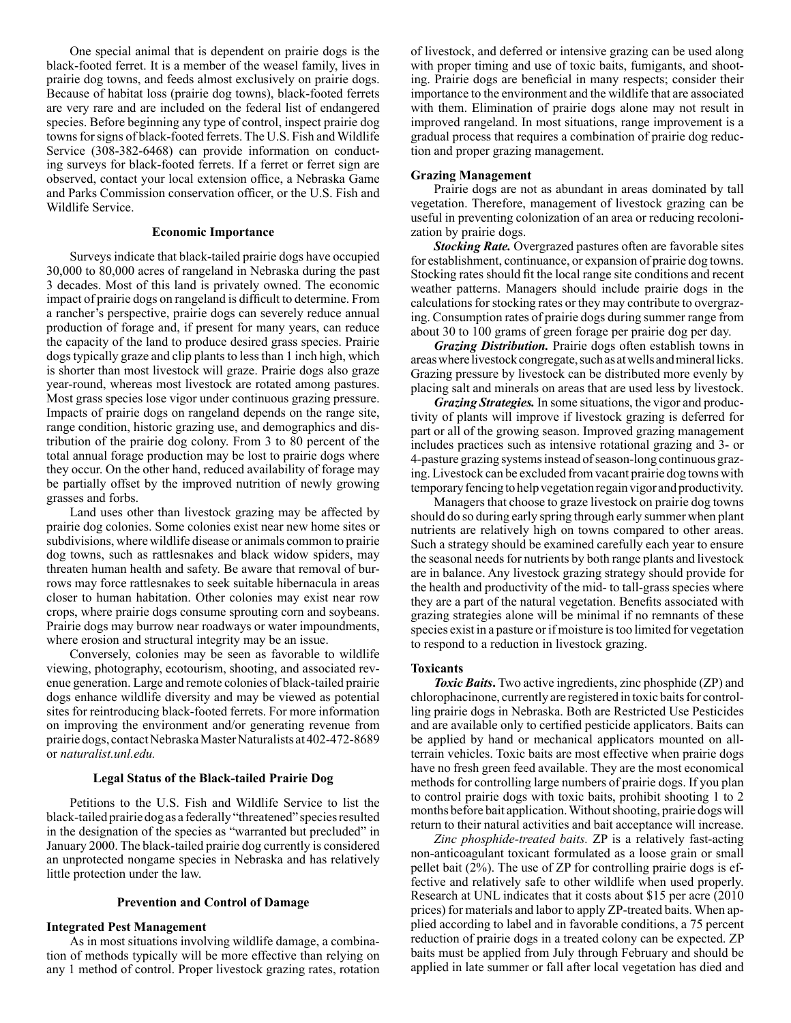One special animal that is dependent on prairie dogs is the black-footed ferret. It is a member of the weasel family, lives in prairie dog towns, and feeds almost exclusively on prairie dogs. Because of habitat loss (prairie dog towns), black-footed ferrets are very rare and are included on the federal list of endangered species. Before beginning any type of control, inspect prairie dog towns for signs of black-footed ferrets. The U.S. Fish and Wildlife Service (308-382-6468) can provide information on conducting surveys for black-footed ferrets. If a ferret or ferret sign are observed, contact your local extension office, a Nebraska Game and Parks Commission conservation officer, or the U.S. Fish and Wildlife Service.

## **Economic Importance**

Surveys indicate that black-tailed prairie dogs have occupied 30,000 to 80,000 acres of rangeland in Nebraska during the past 3 decades. Most of this land is privately owned. The economic impact of prairie dogs on rangeland is difficult to determine. From a rancher's perspective, prairie dogs can severely reduce annual production of forage and, if present for many years, can reduce the capacity of the land to produce desired grass species. Prairie dogs typically graze and clip plants to less than 1 inch high, which is shorter than most livestock will graze. Prairie dogs also graze year-round, whereas most livestock are rotated among pastures. Most grass species lose vigor under continuous grazing pressure. Impacts of prairie dogs on rangeland depends on the range site, range condition, historic grazing use, and demographics and distribution of the prairie dog colony. From 3 to 80 percent of the total annual forage production may be lost to prairie dogs where they occur. On the other hand, reduced availability of forage may be partially offset by the improved nutrition of newly growing grasses and forbs.

Land uses other than livestock grazing may be affected by prairie dog colonies. Some colonies exist near new home sites or subdivisions, where wildlife disease or animals common to prairie dog towns, such as rattlesnakes and black widow spiders, may threaten human health and safety. Be aware that removal of burrows may force rattlesnakes to seek suitable hibernacula in areas closer to human habitation. Other colonies may exist near row crops, where prairie dogs consume sprouting corn and soybeans. Prairie dogs may burrow near roadways or water impoundments, where erosion and structural integrity may be an issue.

Conversely, colonies may be seen as favorable to wildlife viewing, photography, ecotourism, shooting, and associated revenue generation. Large and remote colonies of black-tailed prairie dogs enhance wildlife diversity and may be viewed as potential sites for reintroducing black-footed ferrets. For more information on improving the environment and/or generating revenue from prairie dogs, contact Nebraska Master Naturalists at 402-472-8689 or *[naturalist.unl.edu.](http://naturalist.unl.edu)* 

## **Legal Status of the Black-tailed Prairie Dog**

Petitions to the U.S. Fish and Wildlife Service to list the black-tailed prairie dog as a federally "threatened" species resulted in the designation of the species as "warranted but precluded" in January 2000. The black-tailed prairie dog currently is considered an unprotected nongame species in Nebraska and has relatively little protection under the law.

## **Prevention and Control of Damage**

#### **Integrated Pest Management**

As in most situations involving wildlife damage, a combination of methods typically will be more effective than relying on any 1 method of control. Proper livestock grazing rates, rotation

of livestock, and deferred or intensive grazing can be used along with proper timing and use of toxic baits, fumigants, and shooting. Prairie dogs are beneficial in many respects; consider their importance to the environment and the wildlife that are associated with them. Elimination of prairie dogs alone may not result in improved rangeland. In most situations, range improvement is a gradual process that requires a combination of prairie dog reduction and proper grazing management.

# **Grazing Management**

Prairie dogs are not as abundant in areas dominated by tall vegetation. Therefore, management of livestock grazing can be useful in preventing colonization of an area or reducing recolonization by prairie dogs.

*Stocking Rate.* Overgrazed pastures often are favorable sites for establishment, continuance, or expansion of prairie dog towns. Stocking rates should fit the local range site conditions and recent weather patterns. Managers should include prairie dogs in the calculations for stocking rates or they may contribute to overgrazing. Consumption rates of prairie dogs during summer range from about 30 to 100 grams of green forage per prairie dog per day.

*Grazing Distribution.* Prairie dogs often establish towns in areas where livestock congregate, such as at wells and mineral licks. Grazing pressure by livestock can be distributed more evenly by placing salt and minerals on areas that are used less by livestock.

*Grazing Strategies.* In some situations, the vigor and productivity of plants will improve if livestock grazing is deferred for part or all of the growing season. Improved grazing management includes practices such as intensive rotational grazing and 3- or 4-pasture grazing systems instead of season-long continuous grazing. Livestock can be excluded from vacant prairie dog towns with temporary fencing to help vegetation regain vigor and productivity.

Managers that choose to graze livestock on prairie dog towns should do so during early spring through early summer when plant nutrients are relatively high on towns compared to other areas. Such a strategy should be examined carefully each year to ensure the seasonal needs for nutrients by both range plants and livestock are in balance. Any livestock grazing strategy should provide for the health and productivity of the mid- to tall-grass species where they are a part of the natural vegetation. Benefits associated with grazing strategies alone will be minimal if no remnants of these species exist in a pasture or if moisture is too limited for vegetation to respond to a reduction in livestock grazing.

#### **Toxicants**

*Toxic Baits***.** Two active ingredients, zinc phosphide (ZP) and chlorophacinone, currently are registered in toxic baits for controlling prairie dogs in Nebraska. Both are Restricted Use Pesticides and are available only to certified pesticide applicators. Baits can be applied by hand or mechanical applicators mounted on allterrain vehicles. Toxic baits are most effective when prairie dogs have no fresh green feed available. They are the most economical methods for controlling large numbers of prairie dogs. If you plan to control prairie dogs with toxic baits, prohibit shooting 1 to 2 months before bait application. Without shooting, prairie dogs will return to their natural activities and bait acceptance will increase.

*Zinc phosphide-treated baits.* ZP is a relatively fast-acting non-anticoagulant toxicant formulated as a loose grain or small pellet bait (2%). The use of ZP for controlling prairie dogs is effective and relatively safe to other wildlife when used properly. Research at UNL indicates that it costs about \$15 per acre (2010 prices) for materials and labor to apply ZP-treated baits. When applied according to label and in favorable conditions, a 75 percent reduction of prairie dogs in a treated colony can be expected. ZP baits must be applied from July through February and should be applied in late summer or fall after local vegetation has died and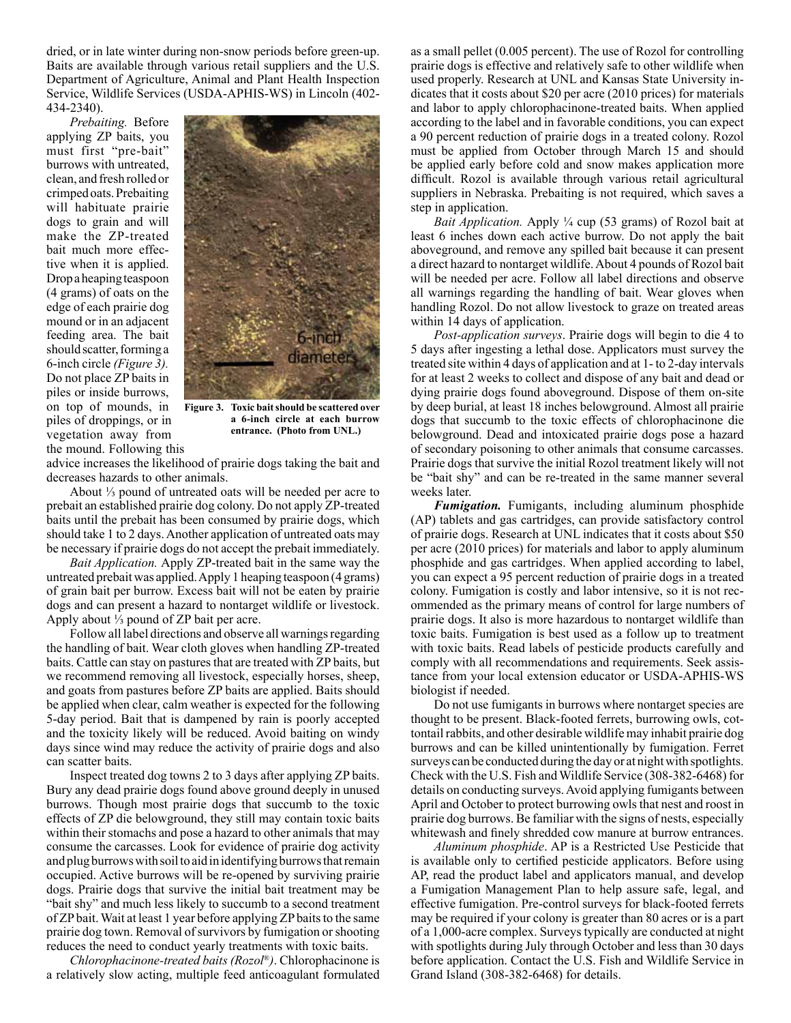dried, or in late winter during non-snow periods before green-up. Baits are available through various retail suppliers and the U.S. Department of Agriculture, Animal and Plant Health Inspection Service, Wildlife Services (USDA-APHIS-WS) in Lincoln (402- 434-2340).

*Prebaiting.* Before applying ZP baits, you must first "pre-bait" burrows with untreated, clean, and fresh rolled or crimped oats. Prebaiting will habituate prairie dogs to grain and will make the ZP-treated bait much more effective when it is applied. Drop a heaping teaspoon (4 grams) of oats on the edge of each prairie dog mound or in an adjacent feeding area. The bait should scatter, forming a 6-inch circle *(Figure 3).*  Do not place ZP baits in piles or inside burrows, on top of mounds, in piles of droppings, or in vegetation away from the mound. Following this



**Figure 3. Toxic bait should be scattered over a 6-inch circle at each burrow entrance. (Photo from UNL.)** 

advice increases the likelihood of prairie dogs taking the bait and decreases hazards to other animals.

About ⅓ pound of untreated oats will be needed per acre to prebait an established prairie dog colony. Do not apply ZP-treated baits until the prebait has been consumed by prairie dogs, which should take 1 to 2 days. Another application of untreated oats may be necessary if prairie dogs do not accept the prebait immediately.

*Bait Application.* Apply ZP-treated bait in the same way the untreated prebait was applied. Apply 1 heaping teaspoon (4 grams) of grain bait per burrow. Excess bait will not be eaten by prairie dogs and can present a hazard to nontarget wildlife or livestock. Apply about ⅓ pound of ZP bait per acre.

Follow all label directions and observe all warnings regarding the handling of bait. Wear cloth gloves when handling ZP-treated baits. Cattle can stay on pastures that are treated with ZP baits, but we recommend removing all livestock, especially horses, sheep, and goats from pastures before ZP baits are applied. Baits should be applied when clear, calm weather is expected for the following 5-day period. Bait that is dampened by rain is poorly accepted and the toxicity likely will be reduced. Avoid baiting on windy days since wind may reduce the activity of prairie dogs and also can scatter baits.

Inspect treated dog towns 2 to 3 days after applying ZP baits. Bury any dead prairie dogs found above ground deeply in unused burrows. Though most prairie dogs that succumb to the toxic effects of ZP die belowground, they still may contain toxic baits within their stomachs and pose a hazard to other animals that may consume the carcasses. Look for evidence of prairie dog activity and plug burrows with soil to aid in identifying burrows that remain occupied. Active burrows will be re-opened by surviving prairie dogs. Prairie dogs that survive the initial bait treatment may be "bait shy" and much less likely to succumb to a second treatment of ZP bait. Wait at least 1 year before applying ZP baits to the same prairie dog town. Removal of survivors by fumigation or shooting reduces the need to conduct yearly treatments with toxic baits.

*Chlorophacinone-treated baits (Rozol*®*)*. Chlorophacinone is a relatively slow acting, multiple feed anticoagulant formulated

as a small pellet (0.005 percent). The use of Rozol for controlling prairie dogs is effective and relatively safe to other wildlife when used properly. Research at UNL and Kansas State University indicates that it costs about \$20 per acre (2010 prices) for materials and labor to apply chlorophacinone-treated baits. When applied according to the label and in favorable conditions, you can expect a 90 percent reduction of prairie dogs in a treated colony. Rozol must be applied from October through March 15 and should be applied early before cold and snow makes application more difficult. Rozol is available through various retail agricultural suppliers in Nebraska. Prebaiting is not required, which saves a step in application.

*Bait Application.* Apply <sup>1</sup>/<sub>4</sub> cup (53 grams) of Rozol bait at least 6 inches down each active burrow. Do not apply the bait aboveground, and remove any spilled bait because it can present a direct hazard to nontarget wildlife. About 4 pounds of Rozol bait will be needed per acre. Follow all label directions and observe all warnings regarding the handling of bait. Wear gloves when handling Rozol. Do not allow livestock to graze on treated areas within 14 days of application.

*Post-application surveys*. Prairie dogs will begin to die 4 to 5 days after ingesting a lethal dose. Applicators must survey the treated site within 4 days of application and at 1- to 2-day intervals for at least 2 weeks to collect and dispose of any bait and dead or dying prairie dogs found aboveground. Dispose of them on-site by deep burial, at least 18 inches belowground. Almost all prairie dogs that succumb to the toxic effects of chlorophacinone die belowground. Dead and intoxicated prairie dogs pose a hazard of secondary poisoning to other animals that consume carcasses. Prairie dogs that survive the initial Rozol treatment likely will not be "bait shy" and can be re-treated in the same manner several weeks later.

*Fumigation.* Fumigants, including aluminum phosphide (AP) tablets and gas cartridges, can provide satisfactory control of prairie dogs. Research at UNL indicates that it costs about \$50 per acre (2010 prices) for materials and labor to apply aluminum phosphide and gas cartridges. When applied according to label, you can expect a 95 percent reduction of prairie dogs in a treated colony. Fumigation is costly and labor intensive, so it is not recommended as the primary means of control for large numbers of prairie dogs. It also is more hazardous to nontarget wildlife than toxic baits. Fumigation is best used as a follow up to treatment with toxic baits. Read labels of pesticide products carefully and comply with all recommendations and requirements. Seek assistance from your local extension educator or USDA-APHIS-WS biologist if needed.

Do not use fumigants in burrows where nontarget species are thought to be present. Black-footed ferrets, burrowing owls, cottontail rabbits, and other desirable wildlife may inhabit prairie dog burrows and can be killed unintentionally by fumigation. Ferret surveys can be conducted during the day or at night with spotlights. Check with the U.S. Fish and Wildlife Service (308-382-6468) for details on conducting surveys. Avoid applying fumigants between April and October to protect burrowing owls that nest and roost in prairie dog burrows. Be familiar with the signs of nests, especially whitewash and finely shredded cow manure at burrow entrances.

*Aluminum phosphide*. AP is a Restricted Use Pesticide that is available only to certified pesticide applicators. Before using AP, read the product label and applicators manual, and develop a Fumigation Management Plan to help assure safe, legal, and effective fumigation. Pre-control surveys for black-footed ferrets may be required if your colony is greater than 80 acres or is a part of a 1,000-acre complex. Surveys typically are conducted at night with spotlights during July through October and less than 30 days before application. Contact the U.S. Fish and Wildlife Service in Grand Island (308-382-6468) for details.